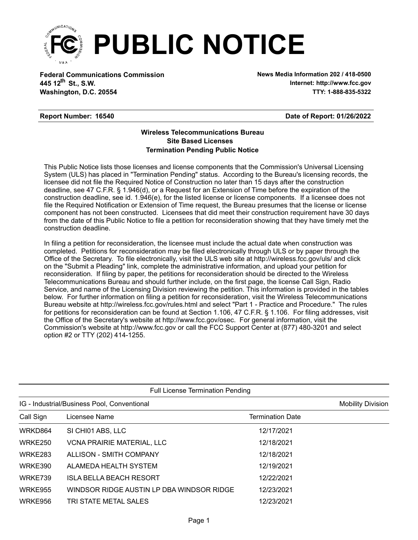

**Federal Communications Commission News Media Information 202 / 418-0500 Washington, D.C. 20554 TTY: 1-888-835-5322 445 12<sup>th</sup> St., S.W.** 

**Internet: http://www.fcc.gov**

### **Report Number: 16540**

**Date of Report: 01/26/2022**

### **Wireless Telecommunications Bureau Site Based Licenses Termination Pending Public Notice**

This Public Notice lists those licenses and license components that the Commission's Universal Licensing System (ULS) has placed in "Termination Pending" status. According to the Bureau's licensing records, the licensee did not file the Required Notice of Construction no later than 15 days after the construction deadline, see 47 C.F.R. § 1.946(d), or a Request for an Extension of Time before the expiration of the construction deadline, see id. 1.946(e), for the listed license or license components. If a licensee does not file the Required Notification or Extension of Time request, the Bureau presumes that the license or license component has not been constructed. Licensees that did meet their construction requirement have 30 days from the date of this Public Notice to file a petition for reconsideration showing that they have timely met the construction deadline.

In filing a petition for reconsideration, the licensee must include the actual date when construction was completed. Petitions for reconsideration may be filed electronically through ULS or by paper through the Office of the Secretary. To file electronically, visit the ULS web site at http://wireless.fcc.gov/uls/ and click on the "Submit a Pleading" link, complete the administrative information, and upload your petition for reconsideration. If filing by paper, the petitions for reconsideration should be directed to the Wireless Telecommunications Bureau and should further include, on the first page, the license Call Sign, Radio Service, and name of the Licensing Division reviewing the petition. This information is provided in the tables below. For further information on filing a petition for reconsideration, visit the Wireless Telecommunications Bureau website at http://wireless.fcc.gov/rules.html and select "Part 1 - Practice and Procedure." The rules for petitions for reconsideration can be found at Section 1.106, 47 C.F.R. § 1.106. For filing addresses, visit the Office of the Secretary's website at http://www.fcc.gov/osec. For general information, visit the Commission's website at http://www.fcc.gov or call the FCC Support Center at (877) 480-3201 and select option #2 or TTY (202) 414-1255.

|                | <b>Full License Termination Pending</b>     |                         |                          |  |  |  |  |  |
|----------------|---------------------------------------------|-------------------------|--------------------------|--|--|--|--|--|
|                | IG - Industrial/Business Pool, Conventional |                         | <b>Mobility Division</b> |  |  |  |  |  |
| Call Sign      | Licensee Name                               | <b>Termination Date</b> |                          |  |  |  |  |  |
| WRKD864        | SI CHI01 ABS, LLC                           | 12/17/2021              |                          |  |  |  |  |  |
| WRKE250        | <b>VCNA PRAIRIE MATERIAL, LLC</b>           | 12/18/2021              |                          |  |  |  |  |  |
| <b>WRKE283</b> | ALLISON - SMITH COMPANY                     | 12/18/2021              |                          |  |  |  |  |  |
| WRKE390        | ALAMEDA HEALTH SYSTEM                       | 12/19/2021              |                          |  |  |  |  |  |
| WRKE739        | ISLA BELLA BEACH RESORT                     | 12/22/2021              |                          |  |  |  |  |  |
| <b>WRKE955</b> | WINDSOR RIDGE AUSTIN LP DBA WINDSOR RIDGE   | 12/23/2021              |                          |  |  |  |  |  |
| WRKE956        | TRI STATE METAL SALES                       | 12/23/2021              |                          |  |  |  |  |  |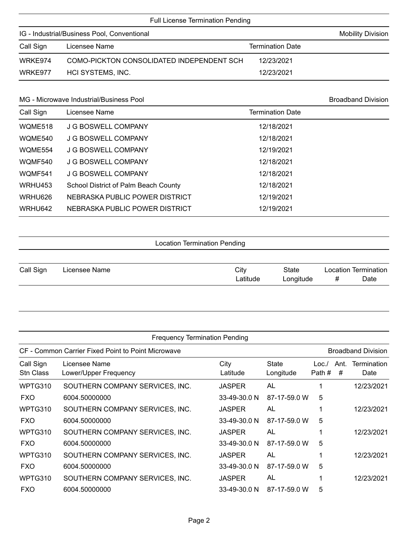| <b>Full License Termination Pending</b>     |                                           |                         |  |  |  |  |  |
|---------------------------------------------|-------------------------------------------|-------------------------|--|--|--|--|--|
| IG - Industrial/Business Pool, Conventional | <b>Mobility Division</b>                  |                         |  |  |  |  |  |
| Call Sign                                   | Licensee Name                             | <b>Termination Date</b> |  |  |  |  |  |
| WRKE974                                     | COMO-PICKTON CONSOLIDATED INDEPENDENT SCH | 12/23/2021              |  |  |  |  |  |
| WRKE977                                     | HCI SYSTEMS, INC.                         | 12/23/2021              |  |  |  |  |  |

### MG - Microwave Industrial/Business Pool and Broadband Division Broadband Division

| Call Sign | Licensee Name                        | <b>Termination Date</b> |  |
|-----------|--------------------------------------|-------------------------|--|
| WQME518   | J G BOSWELL COMPANY                  | 12/18/2021              |  |
| WQME540   | J G BOSWELL COMPANY                  | 12/18/2021              |  |
| WOME554   | J G BOSWELL COMPANY                  | 12/19/2021              |  |
| WQMF540   | J G BOSWELL COMPANY                  | 12/18/2021              |  |
| WOMF541   | J G BOSWELL COMPANY                  | 12/18/2021              |  |
| WRHU453   | School District of Palm Beach County | 12/18/2021              |  |
| WRHU626   | NEBRASKA PUBLIC POWER DISTRICT       | 12/19/2021              |  |
| WRHU642   | NEBRASKA PUBLIC POWER DISTRICT       | 12/19/2021              |  |

Location Termination Pending

| Call Sign | Licensee Name | City     | State     | Location Termination |
|-----------|---------------|----------|-----------|----------------------|
|           |               | Latitude | Longitude | Date                 |

|                        | <b>Frequency Termination Pending</b>               |                  |                           |                |           |                            |  |  |
|------------------------|----------------------------------------------------|------------------|---------------------------|----------------|-----------|----------------------------|--|--|
|                        | CF - Common Carrier Fixed Point to Point Microwave |                  |                           |                |           | <b>Broadband Division</b>  |  |  |
| Call Sign<br>Stn Class | Licensee Name<br>Lower/Upper Frequency             | City<br>Latitude | <b>State</b><br>Longitude | Loc.<br>Path # | Ant.<br># | <b>Termination</b><br>Date |  |  |
| WPTG310                | SOUTHERN COMPANY SERVICES, INC.                    | <b>JASPER</b>    | AL                        |                |           | 12/23/2021                 |  |  |
| <b>FXO</b>             | 6004.50000000                                      | 33-49-30.0 N     | 87-17-59.0 W              | 5              |           |                            |  |  |
| WPTG310                | SOUTHERN COMPANY SERVICES, INC.                    | <b>JASPER</b>    | AL                        |                |           | 12/23/2021                 |  |  |
| <b>FXO</b>             | 6004.50000000                                      | 33-49-30.0 N     | 87-17-59.0 W              | 5              |           |                            |  |  |
| WPTG310                | SOUTHERN COMPANY SERVICES, INC.                    | <b>JASPER</b>    | AL                        |                |           | 12/23/2021                 |  |  |
| <b>FXO</b>             | 6004.50000000                                      | 33-49-30.0 N     | 87-17-59.0 W              | 5              |           |                            |  |  |
| WPTG310                | SOUTHERN COMPANY SERVICES, INC.                    | <b>JASPER</b>    | AL                        |                |           | 12/23/2021                 |  |  |
| <b>FXO</b>             | 6004.50000000                                      | 33-49-30.0 N     | 87-17-59.0 W              | 5              |           |                            |  |  |
| WPTG310                | SOUTHERN COMPANY SERVICES, INC.                    | <b>JASPER</b>    | AL                        |                |           | 12/23/2021                 |  |  |
| <b>FXO</b>             | 6004.50000000                                      | 33-49-30.0 N     | 87-17-59.0 W              | 5              |           |                            |  |  |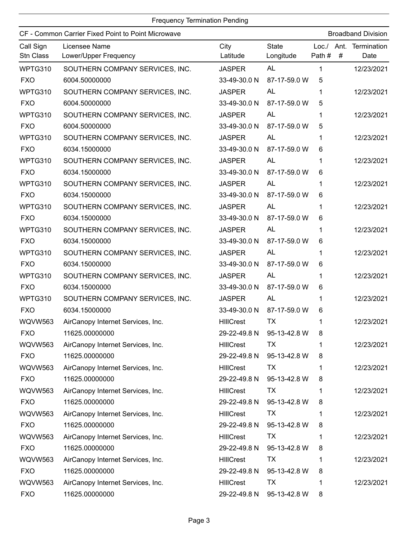|                        | CF - Common Carrier Fixed Point to Point Microwave |                  |                           |                  |   | <b>Broadband Division</b> |
|------------------------|----------------------------------------------------|------------------|---------------------------|------------------|---|---------------------------|
| Call Sign<br>Stn Class | Licensee Name<br>Lower/Upper Frequency             | City<br>Latitude | <b>State</b><br>Longitude | Loc. /<br>Path # | # | Ant. Termination<br>Date  |
| WPTG310                | SOUTHERN COMPANY SERVICES, INC.                    | <b>JASPER</b>    | <b>AL</b>                 | 1                |   | 12/23/2021                |
| <b>FXO</b>             | 6004.50000000                                      | 33-49-30.0 N     | 87-17-59.0 W              | 5                |   |                           |
| WPTG310                | SOUTHERN COMPANY SERVICES, INC.                    | <b>JASPER</b>    | AL                        | 1                |   | 12/23/2021                |
| <b>FXO</b>             | 6004.50000000                                      | 33-49-30.0 N     | 87-17-59.0 W              | 5                |   |                           |
| WPTG310                | SOUTHERN COMPANY SERVICES, INC.                    | <b>JASPER</b>    | <b>AL</b>                 | 1                |   | 12/23/2021                |
| <b>FXO</b>             | 6004.50000000                                      | 33-49-30.0 N     | 87-17-59.0 W              | 5                |   |                           |
| WPTG310                | SOUTHERN COMPANY SERVICES, INC.                    | <b>JASPER</b>    | <b>AL</b>                 | 1                |   | 12/23/2021                |
| <b>FXO</b>             | 6034.15000000                                      | 33-49-30.0 N     | 87-17-59.0 W              | 6                |   |                           |
| WPTG310                | SOUTHERN COMPANY SERVICES, INC.                    | <b>JASPER</b>    | AL                        | 1                |   | 12/23/2021                |
| <b>FXO</b>             | 6034.15000000                                      | 33-49-30.0 N     | 87-17-59.0 W              | 6                |   |                           |
| WPTG310                | SOUTHERN COMPANY SERVICES, INC.                    | <b>JASPER</b>    | AL                        | 1                |   | 12/23/2021                |
| <b>FXO</b>             | 6034.15000000                                      | 33-49-30.0 N     | 87-17-59.0 W              | 6                |   |                           |
| WPTG310                | SOUTHERN COMPANY SERVICES, INC.                    | <b>JASPER</b>    | AL                        | 1                |   | 12/23/2021                |
| <b>FXO</b>             | 6034.15000000                                      | 33-49-30.0 N     | 87-17-59.0 W              | 6                |   |                           |
| WPTG310                | SOUTHERN COMPANY SERVICES, INC.                    | <b>JASPER</b>    | AL                        | 1                |   | 12/23/2021                |
| <b>FXO</b>             | 6034.15000000                                      | 33-49-30.0 N     | 87-17-59.0 W              | 6                |   |                           |
| WPTG310                | SOUTHERN COMPANY SERVICES, INC.                    | <b>JASPER</b>    | AL                        | 1                |   | 12/23/2021                |
| <b>FXO</b>             | 6034.15000000                                      | 33-49-30.0 N     | 87-17-59.0 W              | 6                |   |                           |
| WPTG310                | SOUTHERN COMPANY SERVICES, INC.                    | <b>JASPER</b>    | <b>AL</b>                 | 1                |   | 12/23/2021                |
| <b>FXO</b>             | 6034.15000000                                      | 33-49-30.0 N     | 87-17-59.0 W              | 6                |   |                           |
| WPTG310                | SOUTHERN COMPANY SERVICES, INC.                    | <b>JASPER</b>    | <b>AL</b>                 | 1                |   | 12/23/2021                |
| <b>FXO</b>             | 6034.15000000                                      | 33-49-30.0 N     | 87-17-59.0 W              | 6                |   |                           |
| WQVW563                | AirCanopy Internet Services, Inc.                  | <b>HIIICrest</b> | <b>TX</b>                 | 1                |   | 12/23/2021                |
| <b>FXO</b>             | 11625.00000000                                     |                  | 29-22-49.8 N 95-13-42.8 W | 8                |   |                           |
| <b>WQVW563</b>         | AirCanopy Internet Services, Inc.                  | <b>HIIICrest</b> | ТX                        | 1                |   | 12/23/2021                |
| <b>FXO</b>             | 11625.00000000                                     | 29-22-49.8 N     | 95-13-42.8 W              | 8                |   |                           |
| <b>WQVW563</b>         | AirCanopy Internet Services, Inc.                  | <b>HIIICrest</b> | ТX                        | 1                |   | 12/23/2021                |
| <b>FXO</b>             | 11625.00000000                                     | 29-22-49.8 N     | 95-13-42.8 W              | 8                |   |                           |
| WQVW563                | AirCanopy Internet Services, Inc.                  | <b>HIIICrest</b> | TX                        |                  |   | 12/23/2021                |
| <b>FXO</b>             | 11625.00000000                                     | 29-22-49.8 N     | 95-13-42.8 W              | 8                |   |                           |
| <b>WQVW563</b>         | AirCanopy Internet Services, Inc.                  | <b>HIIICrest</b> | TX                        |                  |   | 12/23/2021                |
| <b>FXO</b>             | 11625.00000000                                     | 29-22-49.8 N     | 95-13-42.8 W              | 8                |   |                           |
| WQVW563                | AirCanopy Internet Services, Inc.                  | <b>HIIICrest</b> | <b>TX</b>                 | 1                |   | 12/23/2021                |
| <b>FXO</b>             | 11625.00000000                                     | 29-22-49.8 N     | 95-13-42.8 W              | 8                |   |                           |
| <b>WQVW563</b>         | AirCanopy Internet Services, Inc.                  | <b>HIIICrest</b> | <b>TX</b>                 | 1                |   | 12/23/2021                |
| <b>FXO</b>             | 11625.00000000                                     | 29-22-49.8 N     | 95-13-42.8 W              | 8                |   |                           |
| WQVW563                | AirCanopy Internet Services, Inc.                  | <b>HIIICrest</b> | <b>TX</b>                 | 1                |   | 12/23/2021                |
| <b>FXO</b>             | 11625.00000000                                     | 29-22-49.8 N     | 95-13-42.8 W              | 8                |   |                           |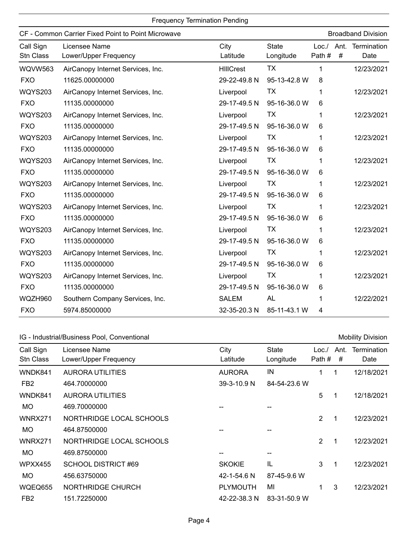|                        | CF - Common Carrier Fixed Point to Point Microwave |                  |                           |                  |           | <b>Broadband Division</b> |
|------------------------|----------------------------------------------------|------------------|---------------------------|------------------|-----------|---------------------------|
| Call Sign<br>Stn Class | Licensee Name<br>Lower/Upper Frequency             | City<br>Latitude | <b>State</b><br>Longitude | Loc. /<br>Path # | Ant.<br># | Termination<br>Date       |
| <b>WQVW563</b>         | AirCanopy Internet Services, Inc.                  | <b>HIIICrest</b> | <b>TX</b>                 | 1                |           | 12/23/2021                |
| <b>FXO</b>             | 11625.00000000                                     | 29-22-49.8 N     | 95-13-42.8 W              | 8                |           |                           |
| <b>WQYS203</b>         | AirCanopy Internet Services, Inc.                  | Liverpool        | <b>TX</b>                 | 1                |           | 12/23/2021                |
| <b>FXO</b>             | 11135.00000000                                     | 29-17-49.5 N     | 95-16-36.0 W              | 6                |           |                           |
| <b>WQYS203</b>         | AirCanopy Internet Services, Inc.                  | Liverpool        | <b>TX</b>                 | 1                |           | 12/23/2021                |
| <b>FXO</b>             | 11135.00000000                                     | 29-17-49.5 N     | 95-16-36.0 W              | 6                |           |                           |
| <b>WQYS203</b>         | AirCanopy Internet Services, Inc.                  | Liverpool        | TX                        | 1                |           | 12/23/2021                |
| <b>FXO</b>             | 11135.00000000                                     | 29-17-49.5 N     | 95-16-36.0 W              | 6                |           |                           |
| <b>WQYS203</b>         | AirCanopy Internet Services, Inc.                  | Liverpool        | TX                        | 1                |           | 12/23/2021                |
| <b>FXO</b>             | 11135.00000000                                     | 29-17-49.5 N     | 95-16-36.0 W              | 6                |           |                           |
| <b>WQYS203</b>         | AirCanopy Internet Services, Inc.                  | Liverpool        | TX                        | 1                |           | 12/23/2021                |
| <b>FXO</b>             | 11135.00000000                                     | 29-17-49.5 N     | 95-16-36.0 W              | 6                |           |                           |
| <b>WQYS203</b>         | AirCanopy Internet Services, Inc.                  | Liverpool        | TX                        | 1                |           | 12/23/2021                |
| <b>FXO</b>             | 11135.00000000                                     | 29-17-49.5 N     | 95-16-36.0 W              | 6                |           |                           |
| <b>WQYS203</b>         | AirCanopy Internet Services, Inc.                  | Liverpool        | TX                        | 1                |           | 12/23/2021                |
| <b>FXO</b>             | 11135.00000000                                     | 29-17-49.5 N     | 95-16-36.0 W              | 6                |           |                           |
| <b>WQYS203</b>         | AirCanopy Internet Services, Inc.                  | Liverpool        | TX                        | 1                |           | 12/23/2021                |
| <b>FXO</b>             | 11135.00000000                                     | 29-17-49.5 N     | 95-16-36.0 W              | 6                |           |                           |
| <b>WQYS203</b>         | AirCanopy Internet Services, Inc.                  | Liverpool        | TX                        | 1                |           | 12/23/2021                |
| <b>FXO</b>             | 11135.00000000                                     | 29-17-49.5 N     | 95-16-36.0 W              | 6                |           |                           |
| WQZH960                | Southern Company Services, Inc.                    | <b>SALEM</b>     | <b>AL</b>                 | 1                |           | 12/22/2021                |
| <b>FXO</b>             | 5974.85000000                                      | 32-35-20.3 N     | 85-11-43.1 W              | 4                |           |                           |

## IG - Industrial/Business Pool, Conventional Mobility Division and Mobility Division

| Call Sign<br><b>Stn Class</b> | Licensee Name<br>Lower/Upper Frequency | City<br>Latitude | <b>State</b><br>Longitude | Loc.<br>Path#  | Ant.<br># | Termination<br>Date |
|-------------------------------|----------------------------------------|------------------|---------------------------|----------------|-----------|---------------------|
| WNDK841                       | <b>AURORA UTILITIES</b>                | <b>AURORA</b>    | IN                        | 1              | 1         | 12/18/2021          |
| FB <sub>2</sub>               | 464.70000000                           | 39-3-10.9 N      | 84-54-23.6 W              |                |           |                     |
| WNDK841                       | <b>AURORA UTILITIES</b>                |                  |                           | 5              |           | 12/18/2021          |
| <b>MO</b>                     | 469.70000000                           |                  |                           |                |           |                     |
| <b>WNRX271</b>                | NORTHRIDGE LOCAL SCHOOLS               |                  |                           | 2              | 1         | 12/23/2021          |
| <b>MO</b>                     | 464.87500000                           |                  |                           |                |           |                     |
| <b>WNRX271</b>                | NORTHRIDGE LOCAL SCHOOLS               |                  |                           | $\overline{2}$ | -1        | 12/23/2021          |
| MO                            | 469.87500000                           | --               |                           |                |           |                     |
| <b>WPXX455</b>                | <b>SCHOOL DISTRICT #69</b>             | <b>SKOKIE</b>    | IL                        | 3              | 1         | 12/23/2021          |
| <b>MO</b>                     | 456.63750000                           | 42-1-54.6 N      | 87-45-9.6 W               |                |           |                     |
| WQEQ655                       | NORTHRIDGE CHURCH                      | <b>PLYMOUTH</b>  | MI                        | 1              | 3         | 12/23/2021          |
| FB <sub>2</sub>               | 151.72250000                           | 42-22-38.3 N     | 83-31-50.9 W              |                |           |                     |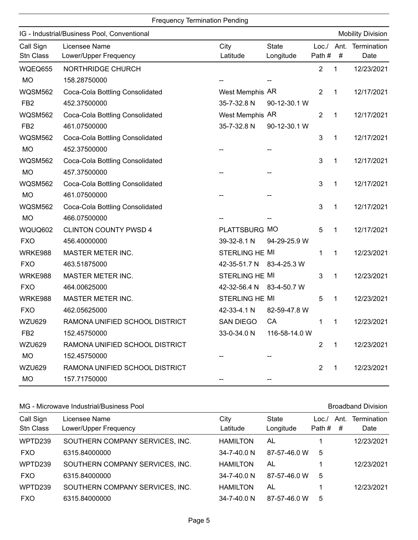|  | <b>Frequency Termination Pending</b> |  |
|--|--------------------------------------|--|
|  |                                      |  |

|                        | IG - Industrial/Business Pool, Conventional |                          |                           |                 |              | <b>Mobility Division</b> |
|------------------------|---------------------------------------------|--------------------------|---------------------------|-----------------|--------------|--------------------------|
| Call Sign<br>Stn Class | Licensee Name<br>Lower/Upper Frequency      | City<br>Latitude         | <b>State</b><br>Longitude | Loc. /<br>Path# | Ant.<br>#    | Termination<br>Date      |
| WQEQ655                | NORTHRIDGE CHURCH                           |                          |                           | $\overline{2}$  | 1            | 12/23/2021               |
| <b>MO</b>              | 158.28750000                                |                          |                           |                 |              |                          |
| <b>WQSM562</b>         | Coca-Cola Bottling Consolidated             | West Memphis AR          |                           | $\overline{2}$  | 1            | 12/17/2021               |
| FB <sub>2</sub>        | 452.37500000                                | 35-7-32.8 N              | 90-12-30.1 W              |                 |              |                          |
| <b>WQSM562</b>         | Coca-Cola Bottling Consolidated             | West Memphis AR          |                           | 2               | 1            | 12/17/2021               |
| FB <sub>2</sub>        | 461.07500000                                | 35-7-32.8 N              | 90-12-30.1 W              |                 |              |                          |
| <b>WQSM562</b>         | Coca-Cola Bottling Consolidated             |                          |                           | 3               | 1            | 12/17/2021               |
| <b>MO</b>              | 452.37500000                                |                          |                           |                 |              |                          |
| <b>WQSM562</b>         | Coca-Cola Bottling Consolidated             |                          |                           | 3               | 1            | 12/17/2021               |
| <b>MO</b>              | 457.37500000                                |                          |                           |                 |              |                          |
| <b>WQSM562</b>         | Coca-Cola Bottling Consolidated             |                          |                           | 3               | 1            | 12/17/2021               |
| <b>MO</b>              | 461.07500000                                |                          |                           |                 |              |                          |
| <b>WQSM562</b>         | Coca-Cola Bottling Consolidated             |                          |                           | 3               | $\mathbf 1$  | 12/17/2021               |
| <b>MO</b>              | 466.07500000                                |                          |                           |                 |              |                          |
| WQUQ602                | <b>CLINTON COUNTY PWSD 4</b>                | PLATTSBURG MO            |                           | 5               | 1            | 12/17/2021               |
| <b>FXO</b>             | 456.40000000                                | 39-32-8.1 N              | 94-29-25.9 W              |                 |              |                          |
| WRKE988                | MASTER METER INC.                           | <b>STERLING HE MI</b>    |                           | 1               | 1            | 12/23/2021               |
| <b>FXO</b>             | 463.51875000                                | 42-35-51.7 N 83-4-25.3 W |                           |                 |              |                          |
| WRKE988                | MASTER METER INC.                           | STERLING HE MI           |                           | 3               | 1            | 12/23/2021               |
| <b>FXO</b>             | 464.00625000                                | 42-32-56.4 N             | 83-4-50.7 W               |                 |              |                          |
| WRKE988                | MASTER METER INC.                           | <b>STERLING HE MI</b>    |                           | 5               | 1            | 12/23/2021               |
| <b>FXO</b>             | 462.05625000                                | 42-33-4.1 N              | 82-59-47.8 W              |                 |              |                          |
| <b>WZU629</b>          | RAMONA UNIFIED SCHOOL DISTRICT              | <b>SAN DIEGO</b>         | CA                        | 1               | 1            | 12/23/2021               |
| FB <sub>2</sub>        | 152.45750000                                | 33-0-34.0 N              | 116-58-14.0 W             |                 |              |                          |
| <b>WZU629</b>          | RAMONA UNIFIED SCHOOL DISTRICT              |                          |                           | $\overline{2}$  | $\mathbf{1}$ | 12/23/2021               |
| MO                     | 152.45750000                                |                          |                           |                 |              |                          |
| <b>WZU629</b>          | RAMONA UNIFIED SCHOOL DISTRICT              |                          |                           | $\overline{2}$  | $\mathbf{1}$ | 12/23/2021               |
| MO                     | 157.71750000                                |                          |                           |                 |              |                          |

### MG - Microwave Industrial/Business Pool and Broadband Division Broadband Division

| Call Sign<br>Stn Class | Licensee Name<br>Lower/Upper Frequency | City<br>Latitude  | State<br>Longitude | Loc./<br>Path # | Ant.<br># | Termination<br>Date |
|------------------------|----------------------------------------|-------------------|--------------------|-----------------|-----------|---------------------|
| WPTD239                | SOUTHERN COMPANY SERVICES, INC.        | <b>HAMILTON</b>   | AL                 |                 |           | 12/23/2021          |
| <b>FXO</b>             | 6315.84000000                          | $34 - 7 - 40.0 N$ | 87-57-46.0 W       | 5               |           |                     |
| WPTD239                | SOUTHERN COMPANY SERVICES, INC.        | <b>HAMILTON</b>   | AL                 |                 |           | 12/23/2021          |
| <b>FXO</b>             | 6315.84000000                          | $34 - 7 - 40.0$ N | 87-57-46.0 W       | 5               |           |                     |
| WPTD239                | SOUTHERN COMPANY SERVICES, INC.        | <b>HAMILTON</b>   | AL                 |                 |           | 12/23/2021          |
| <b>FXO</b>             | 6315.84000000                          | $34 - 7 - 40.0$ N | 87-57-46.0 W       | 5               |           |                     |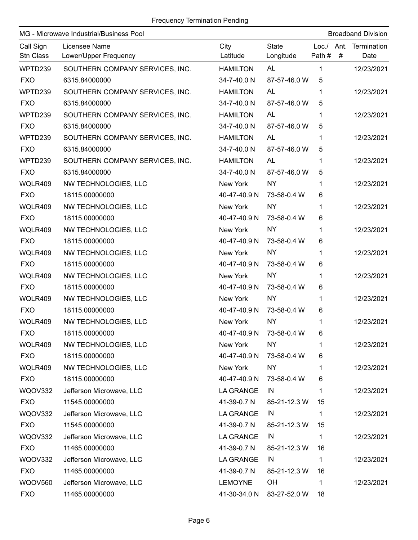|                        | MG - Microwave Industrial/Business Pool |                  |                           |             |   | <b>Broadband Division</b>      |
|------------------------|-----------------------------------------|------------------|---------------------------|-------------|---|--------------------------------|
| Call Sign<br>Stn Class | Licensee Name<br>Lower/Upper Frequency  | City<br>Latitude | <b>State</b><br>Longitude | Path #      | # | Loc./ Ant. Termination<br>Date |
| WPTD239                | SOUTHERN COMPANY SERVICES, INC.         | <b>HAMILTON</b>  | <b>AL</b>                 | 1           |   | 12/23/2021                     |
| <b>FXO</b>             | 6315.84000000                           | 34-7-40.0 N      | 87-57-46.0 W              | 5           |   |                                |
| WPTD239                | SOUTHERN COMPANY SERVICES, INC.         | <b>HAMILTON</b>  | AL                        | 1           |   | 12/23/2021                     |
| <b>FXO</b>             | 6315.84000000                           | 34-7-40.0 N      | 87-57-46.0 W              | 5           |   |                                |
| WPTD239                | SOUTHERN COMPANY SERVICES, INC.         | <b>HAMILTON</b>  | <b>AL</b>                 | 1           |   | 12/23/2021                     |
| <b>FXO</b>             | 6315.84000000                           | 34-7-40.0 N      | 87-57-46.0 W              | 5           |   |                                |
| WPTD239                | SOUTHERN COMPANY SERVICES, INC.         | <b>HAMILTON</b>  | <b>AL</b>                 | 1           |   | 12/23/2021                     |
| <b>FXO</b>             | 6315.84000000                           | 34-7-40.0 N      | 87-57-46.0 W              | 5           |   |                                |
| WPTD239                | SOUTHERN COMPANY SERVICES, INC.         | <b>HAMILTON</b>  | <b>AL</b>                 | 1           |   | 12/23/2021                     |
| <b>FXO</b>             | 6315.84000000                           | 34-7-40.0 N      | 87-57-46.0 W              | 5           |   |                                |
| WQLR409                | NW TECHNOLOGIES, LLC                    | New York         | <b>NY</b>                 | 1           |   | 12/23/2021                     |
| <b>FXO</b>             | 18115.00000000                          | 40-47-40.9 N     | 73-58-0.4 W               | 6           |   |                                |
| WQLR409                | NW TECHNOLOGIES, LLC                    | New York         | <b>NY</b>                 | 1           |   | 12/23/2021                     |
| <b>FXO</b>             | 18115.00000000                          | 40-47-40.9 N     | 73-58-0.4 W               | 6           |   |                                |
| WQLR409                | NW TECHNOLOGIES, LLC                    | New York         | <b>NY</b>                 | 1           |   | 12/23/2021                     |
| <b>FXO</b>             | 18115.00000000                          | 40-47-40.9 N     | 73-58-0.4 W               | 6           |   |                                |
| WQLR409                | NW TECHNOLOGIES, LLC                    | New York         | <b>NY</b>                 | 1           |   | 12/23/2021                     |
| <b>FXO</b>             | 18115.00000000                          | 40-47-40.9 N     | 73-58-0.4 W               | 6           |   |                                |
| WQLR409                | NW TECHNOLOGIES, LLC                    | New York         | <b>NY</b>                 | 1           |   | 12/23/2021                     |
| <b>FXO</b>             | 18115.00000000                          | 40-47-40.9 N     | 73-58-0.4 W               | 6           |   |                                |
| WQLR409                | NW TECHNOLOGIES, LLC                    | New York         | <b>NY</b>                 | 1           |   | 12/23/2021                     |
| <b>FXO</b>             | 18115.00000000                          | 40-47-40.9 N     | 73-58-0.4 W               | 6           |   |                                |
| WQLR409                | NW TECHNOLOGIES, LLC                    | New York         | <b>NY</b>                 |             |   | 12/23/2021                     |
| <b>FXO</b>             | 18115.00000000                          |                  | 40-47-40.9 N 73-58-0.4 W  | 6           |   |                                |
| WQLR409                | NW TECHNOLOGIES, LLC                    | New York         | <b>NY</b>                 | 1           |   | 12/23/2021                     |
| <b>FXO</b>             | 18115.00000000                          | 40-47-40.9 N     | 73-58-0.4 W               | 6           |   |                                |
| WQLR409                | NW TECHNOLOGIES, LLC                    | New York         | <b>NY</b>                 | 1           |   | 12/23/2021                     |
| <b>FXO</b>             | 18115.00000000                          | 40-47-40.9 N     | 73-58-0.4 W               | 6           |   |                                |
| WQOV332                | Jefferson Microwave, LLC                | <b>LA GRANGE</b> | IN                        | 1           |   | 12/23/2021                     |
| <b>FXO</b>             | 11545.00000000                          | 41-39-0.7 N      | 85-21-12.3 W              | 15          |   |                                |
| WQOV332                | Jefferson Microwave, LLC                | <b>LA GRANGE</b> | IN                        | 1           |   | 12/23/2021                     |
| <b>FXO</b>             | 11545.00000000                          | 41-39-0.7 N      | 85-21-12.3 W              | 15          |   |                                |
| WQOV332                | Jefferson Microwave, LLC                | <b>LA GRANGE</b> | IN                        | 1           |   | 12/23/2021                     |
| <b>FXO</b>             | 11465.00000000                          | 41-39-0.7 N      | 85-21-12.3 W              | 16          |   |                                |
| WQOV332                | Jefferson Microwave, LLC                | <b>LA GRANGE</b> | IN                        | $\mathbf 1$ |   | 12/23/2021                     |
| <b>FXO</b>             | 11465.00000000                          | 41-39-0.7 N      | 85-21-12.3 W              | 16          |   |                                |
| <b>WQOV560</b>         | Jefferson Microwave, LLC                | <b>LEMOYNE</b>   | OH                        | 1           |   | 12/23/2021                     |
| <b>FXO</b>             | 11465.00000000                          | 41-30-34.0 N     | 83-27-52.0 W              | 18          |   |                                |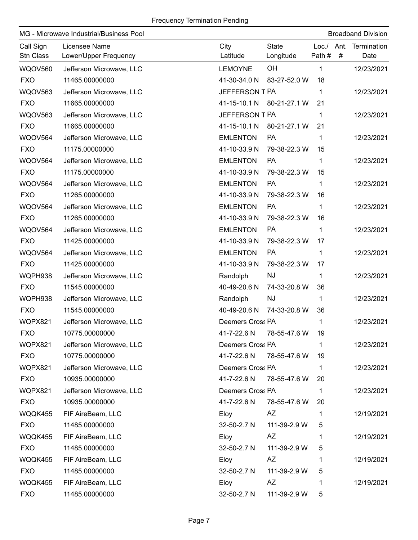| MG - Microwave Industrial/Business Pool |                                        |                          |                           |                      | <b>Broadband Division</b> |                     |  |
|-----------------------------------------|----------------------------------------|--------------------------|---------------------------|----------------------|---------------------------|---------------------|--|
| Call Sign<br>Stn Class                  | Licensee Name<br>Lower/Upper Frequency | City<br>Latitude         | <b>State</b><br>Longitude | Loc./ Ant.<br>Path # | #                         | Termination<br>Date |  |
| <b>WQOV560</b>                          | Jefferson Microwave, LLC               | <b>LEMOYNE</b>           | OH                        | 1                    |                           | 12/23/2021          |  |
| <b>FXO</b>                              | 11465.00000000                         | 41-30-34.0 N             | 83-27-52.0 W              | 18                   |                           |                     |  |
| <b>WQOV563</b>                          | Jefferson Microwave, LLC               | JEFFERSON T PA           |                           | 1                    |                           | 12/23/2021          |  |
| <b>FXO</b>                              | 11665.00000000                         | 41-15-10.1 N             | 80-21-27.1 W              | 21                   |                           |                     |  |
| <b>WQOV563</b>                          | Jefferson Microwave, LLC               | JEFFERSON T PA           |                           | 1                    |                           | 12/23/2021          |  |
| <b>FXO</b>                              | 11665.00000000                         | 41-15-10.1 N             | 80-21-27.1 W              | 21                   |                           |                     |  |
| WQOV564                                 | Jefferson Microwave, LLC               | <b>EMLENTON</b>          | PA                        | 1                    |                           | 12/23/2021          |  |
| <b>FXO</b>                              | 11175.00000000                         | 41-10-33.9 N             | 79-38-22.3 W              | 15                   |                           |                     |  |
| WQOV564                                 | Jefferson Microwave, LLC               | <b>EMLENTON</b>          | PA                        | 1                    |                           | 12/23/2021          |  |
| <b>FXO</b>                              | 11175.00000000                         | 41-10-33.9 N             | 79-38-22.3 W              | 15                   |                           |                     |  |
| WQOV564                                 | Jefferson Microwave, LLC               | <b>EMLENTON</b>          | <b>PA</b>                 | 1                    |                           | 12/23/2021          |  |
| <b>FXO</b>                              | 11265.00000000                         | 41-10-33.9 N             | 79-38-22.3 W              | 16                   |                           |                     |  |
| WQOV564                                 | Jefferson Microwave, LLC               | <b>EMLENTON</b>          | PA                        | 1                    |                           | 12/23/2021          |  |
| <b>FXO</b>                              | 11265.00000000                         | 41-10-33.9 N             | 79-38-22.3 W              | 16                   |                           |                     |  |
| <b>WQOV564</b>                          | Jefferson Microwave, LLC               | <b>EMLENTON</b>          | <b>PA</b>                 | 1                    |                           | 12/23/2021          |  |
| <b>FXO</b>                              | 11425.00000000                         | 41-10-33.9 N             | 79-38-22.3 W              | 17                   |                           |                     |  |
| WQOV564                                 | Jefferson Microwave, LLC               | <b>EMLENTON</b>          | PA                        | 1                    |                           | 12/23/2021          |  |
| <b>FXO</b>                              | 11425.00000000                         | 41-10-33.9 N             | 79-38-22.3 W              | 17                   |                           |                     |  |
| WQPH938                                 | Jefferson Microwave, LLC               | Randolph                 | <b>NJ</b>                 | $\mathbf 1$          |                           | 12/23/2021          |  |
| <b>FXO</b>                              | 11545.00000000                         | 40-49-20.6 N             | 74-33-20.8 W              | 36                   |                           |                     |  |
| WQPH938                                 | Jefferson Microwave, LLC               | Randolph                 | <b>NJ</b>                 | 1                    |                           | 12/23/2021          |  |
| <b>FXO</b>                              | 11545.00000000                         | 40-49-20.6 N             | 74-33-20.8 W              | 36                   |                           |                     |  |
| WQPX821                                 | Jefferson Microwave, LLC               | Deemers Cross PA         |                           | 1                    |                           | 12/23/2021          |  |
| <b>FXO</b>                              | 10775.00000000                         | 41-7-22.6 N 78-55-47.6 W |                           | 19                   |                           |                     |  |
| WQPX821                                 | Jefferson Microwave, LLC               | Deemers Cross PA         |                           | 1                    |                           | 12/23/2021          |  |
| <b>FXO</b>                              | 10775.00000000                         | 41-7-22.6 N              | 78-55-47.6 W              | 19                   |                           |                     |  |
| WQPX821                                 | Jefferson Microwave, LLC               | Deemers Cross PA         |                           | 1                    |                           | 12/23/2021          |  |
| <b>FXO</b>                              | 10935.00000000                         | 41-7-22.6 N              | 78-55-47.6 W              | 20                   |                           |                     |  |
| WQPX821                                 | Jefferson Microwave, LLC               | Deemers Cross PA         |                           | $\mathbf{1}$         |                           | 12/23/2021          |  |
| <b>FXO</b>                              | 10935.00000000                         | 41-7-22.6 N              | 78-55-47.6 W              | 20                   |                           |                     |  |
| WQQK455                                 | FIF AireBeam, LLC                      | Eloy                     | AZ                        | 1                    |                           | 12/19/2021          |  |
| <b>FXO</b>                              | 11485.00000000                         | 32-50-2.7 N              | 111-39-2.9 W              | 5                    |                           |                     |  |
| WQQK455                                 | FIF AireBeam, LLC                      | Eloy                     | AZ                        | 1                    |                           | 12/19/2021          |  |
| <b>FXO</b>                              | 11485.00000000                         | 32-50-2.7 N              | 111-39-2.9 W              | 5                    |                           |                     |  |
| WQQK455                                 | FIF AireBeam, LLC                      | Eloy                     | AZ                        | 1                    |                           | 12/19/2021          |  |
| <b>FXO</b>                              | 11485.00000000                         | 32-50-2.7 N              | 111-39-2.9 W              | 5                    |                           |                     |  |
| WQQK455                                 | FIF AireBeam, LLC                      | Eloy                     | AZ                        | 1                    |                           | 12/19/2021          |  |
| <b>FXO</b>                              | 11485.00000000                         | 32-50-2.7 N              | 111-39-2.9 W              | 5                    |                           |                     |  |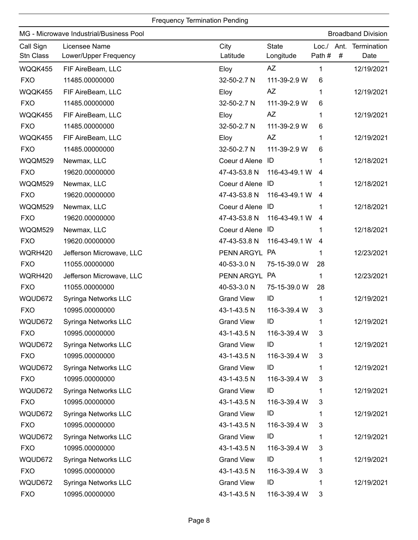| MG - Microwave Industrial/Business Pool<br><b>Broadband Division</b> |                                        |                   |                           |                     |   |                     |
|----------------------------------------------------------------------|----------------------------------------|-------------------|---------------------------|---------------------|---|---------------------|
| Call Sign<br>Stn Class                                               | Licensee Name<br>Lower/Upper Frequency | City<br>Latitude  | <b>State</b><br>Longitude | Loc./ Ant.<br>Path# | # | Termination<br>Date |
| WQQK455                                                              | FIF AireBeam, LLC                      | Eloy              | AZ                        | 1                   |   | 12/19/2021          |
| <b>FXO</b>                                                           | 11485.00000000                         | 32-50-2.7 N       | 111-39-2.9 W              | 6                   |   |                     |
| WQQK455                                                              | FIF AireBeam, LLC                      | Eloy              | AZ                        | 1                   |   | 12/19/2021          |
| <b>FXO</b>                                                           | 11485.00000000                         | 32-50-2.7 N       | 111-39-2.9 W              | 6                   |   |                     |
| WQQK455                                                              | FIF AireBeam, LLC                      | Eloy              | <b>AZ</b>                 | 1                   |   | 12/19/2021          |
| <b>FXO</b>                                                           | 11485.00000000                         | 32-50-2.7 N       | 111-39-2.9 W              | 6                   |   |                     |
| WQQK455                                                              | FIF AireBeam, LLC                      | Eloy              | <b>AZ</b>                 | 1                   |   | 12/19/2021          |
| <b>FXO</b>                                                           | 11485.00000000                         | 32-50-2.7 N       | 111-39-2.9 W              | 6                   |   |                     |
| WQQM529                                                              | Newmax, LLC                            | Coeur d Alene     | ID                        | 1                   |   | 12/18/2021          |
| <b>FXO</b>                                                           | 19620.00000000                         | 47-43-53.8 N      | 116-43-49.1 W             | 4                   |   |                     |
| WQQM529                                                              | Newmax, LLC                            | Coeur d Alene ID  |                           | 1                   |   | 12/18/2021          |
| <b>FXO</b>                                                           | 19620.00000000                         | 47-43-53.8 N      | 116-43-49.1 W             | 4                   |   |                     |
| WQQM529                                                              | Newmax, LLC                            | Coeur d Alene ID  |                           | 1                   |   | 12/18/2021          |
| <b>FXO</b>                                                           | 19620.00000000                         | 47-43-53.8 N      | 116-43-49.1 W             | 4                   |   |                     |
| WQQM529                                                              | Newmax, LLC                            | Coeur d Alene ID  |                           |                     |   | 12/18/2021          |
| <b>FXO</b>                                                           | 19620.00000000                         | 47-43-53.8 N      | 116-43-49.1 W             | 4                   |   |                     |
| WQRH420                                                              | Jefferson Microwave, LLC               | PENN ARGYL PA     |                           | 1                   |   | 12/23/2021          |
| <b>FXO</b>                                                           | 11055.00000000                         | 40-53-3.0 N       | 75-15-39.0 W              | 28                  |   |                     |
| WQRH420                                                              | Jefferson Microwave, LLC               | PENN ARGYL PA     |                           | 1                   |   | 12/23/2021          |
| <b>FXO</b>                                                           | 11055.00000000                         | 40-53-3.0 N       | 75-15-39.0 W              | 28                  |   |                     |
| WQUD672                                                              | Syringa Networks LLC                   | <b>Grand View</b> | ID                        | 1                   |   | 12/19/2021          |
| <b>FXO</b>                                                           | 10995.00000000                         | 43-1-43.5 N       | 116-3-39.4 W              | 3                   |   |                     |
| WQUD672                                                              | Syringa Networks LLC                   | <b>Grand View</b> | ID                        | 1                   |   | 12/19/2021          |
| <b>FXO</b>                                                           | 10995.00000000                         | 43-1-43.5 N       | 116-3-39.4 W              | 3                   |   |                     |
| WQUD672                                                              | Syringa Networks LLC                   | <b>Grand View</b> | ID                        | 1                   |   | 12/19/2021          |
| <b>FXO</b>                                                           | 10995.00000000                         | 43-1-43.5 N       | 116-3-39.4 W              | 3                   |   |                     |
| WQUD672                                                              | Syringa Networks LLC                   | <b>Grand View</b> | ID                        | 1                   |   | 12/19/2021          |
| <b>FXO</b>                                                           | 10995.00000000                         | 43-1-43.5 N       | 116-3-39.4 W              | 3                   |   |                     |
| WQUD672                                                              | Syringa Networks LLC                   | <b>Grand View</b> | ID                        | 1                   |   | 12/19/2021          |
| <b>FXO</b>                                                           | 10995.00000000                         | 43-1-43.5 N       | 116-3-39.4 W              | 3                   |   |                     |
| WQUD672                                                              | Syringa Networks LLC                   | <b>Grand View</b> | ID                        | 1                   |   | 12/19/2021          |
| <b>FXO</b>                                                           | 10995.00000000                         | 43-1-43.5 N       | 116-3-39.4 W              | 3                   |   |                     |
| WQUD672                                                              | Syringa Networks LLC                   | <b>Grand View</b> | ID                        | 1                   |   | 12/19/2021          |
| <b>FXO</b>                                                           | 10995.00000000                         | 43-1-43.5 N       | 116-3-39.4 W              | 3                   |   |                     |
| WQUD672                                                              | Syringa Networks LLC                   | <b>Grand View</b> | ID                        | 1                   |   | 12/19/2021          |
| <b>FXO</b>                                                           | 10995.00000000                         | 43-1-43.5 N       | 116-3-39.4 W              | 3                   |   |                     |
| WQUD672                                                              | Syringa Networks LLC                   | <b>Grand View</b> | ID                        | 1                   |   | 12/19/2021          |
| <b>FXO</b>                                                           | 10995.00000000                         | 43-1-43.5 N       | 116-3-39.4 W              | 3                   |   |                     |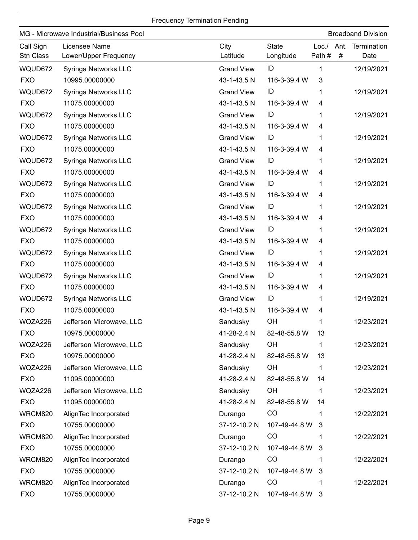|                        | MG - Microwave Industrial/Business Pool |                   |                           |                 |   | <b>Broadband Division</b> |
|------------------------|-----------------------------------------|-------------------|---------------------------|-----------------|---|---------------------------|
| Call Sign<br>Stn Class | Licensee Name<br>Lower/Upper Frequency  | City<br>Latitude  | <b>State</b><br>Longitude | Loc. /<br>Path# | # | Ant. Termination<br>Date  |
| WQUD672                | Syringa Networks LLC                    | <b>Grand View</b> | ID                        | 1               |   | 12/19/2021                |
| <b>FXO</b>             | 10995.00000000                          | 43-1-43.5 N       | 116-3-39.4 W              | 3               |   |                           |
| WQUD672                | Syringa Networks LLC                    | <b>Grand View</b> | ID                        | 1               |   | 12/19/2021                |
| <b>FXO</b>             | 11075.00000000                          | 43-1-43.5 N       | 116-3-39.4 W              | 4               |   |                           |
| WQUD672                | Syringa Networks LLC                    | <b>Grand View</b> | ID                        | 1               |   | 12/19/2021                |
| <b>FXO</b>             | 11075.00000000                          | 43-1-43.5 N       | 116-3-39.4 W              | 4               |   |                           |
| WQUD672                | Syringa Networks LLC                    | <b>Grand View</b> | ID                        | 1               |   | 12/19/2021                |
| <b>FXO</b>             | 11075.00000000                          | 43-1-43.5 N       | 116-3-39.4 W              | 4               |   |                           |
| WQUD672                | Syringa Networks LLC                    | <b>Grand View</b> | ID                        | 1               |   | 12/19/2021                |
| <b>FXO</b>             | 11075.00000000                          | 43-1-43.5 N       | 116-3-39.4 W              | 4               |   |                           |
| WQUD672                | Syringa Networks LLC                    | <b>Grand View</b> | ID                        | 1               |   | 12/19/2021                |
| <b>FXO</b>             | 11075.00000000                          | 43-1-43.5 N       | 116-3-39.4 W              | 4               |   |                           |
| WQUD672                | Syringa Networks LLC                    | <b>Grand View</b> | ID                        | 1               |   | 12/19/2021                |
| <b>FXO</b>             | 11075.00000000                          | 43-1-43.5 N       | 116-3-39.4 W              | 4               |   |                           |
| WQUD672                | Syringa Networks LLC                    | <b>Grand View</b> | ID                        | 1               |   | 12/19/2021                |
| <b>FXO</b>             | 11075.00000000                          | 43-1-43.5 N       | 116-3-39.4 W              | 4               |   |                           |
| WQUD672                | Syringa Networks LLC                    | <b>Grand View</b> | ID                        | 1               |   | 12/19/2021                |
| <b>FXO</b>             | 11075.00000000                          | 43-1-43.5 N       | 116-3-39.4 W              | 4               |   |                           |
| WQUD672                | Syringa Networks LLC                    | <b>Grand View</b> | ID                        | 1               |   | 12/19/2021                |
| <b>FXO</b>             | 11075.00000000                          | 43-1-43.5 N       | 116-3-39.4 W              | 4               |   |                           |
| WQUD672                | Syringa Networks LLC                    | <b>Grand View</b> | ID                        | 1               |   | 12/19/2021                |
| <b>FXO</b>             | 11075.00000000                          | 43-1-43.5 N       | 116-3-39.4 W              | 4               |   |                           |
| WQZA226                | Jefferson Microwave, LLC                | Sandusky          | OH                        | 1               |   | 12/23/2021                |
| <b>FXO</b>             | 10975.00000000                          | 41-28-2.4 N       | 82-48-55.8 W              | 13              |   |                           |
| WQZA226                | Jefferson Microwave, LLC                | Sandusky          | OH                        | 1               |   | 12/23/2021                |
| <b>FXO</b>             | 10975.00000000                          | 41-28-2.4 N       | 82-48-55.8 W              | 13              |   |                           |
| WQZA226                | Jefferson Microwave, LLC                | Sandusky          | OH                        | 1               |   | 12/23/2021                |
| <b>FXO</b>             | 11095.00000000                          | 41-28-2.4 N       | 82-48-55.8 W              | 14              |   |                           |
| WQZA226                | Jefferson Microwave, LLC                | Sandusky          | OH                        | 1               |   | 12/23/2021                |
| <b>FXO</b>             | 11095.00000000                          | 41-28-2.4 N       | 82-48-55.8 W              | 14              |   |                           |
| WRCM820                | AlignTec Incorporated                   | Durango           | CO                        | 1               |   | 12/22/2021                |
| <b>FXO</b>             | 10755.00000000                          | 37-12-10.2 N      | 107-49-44.8 W             | 3               |   |                           |
| WRCM820                | AlignTec Incorporated                   | Durango           | CO                        |                 |   | 12/22/2021                |
| <b>FXO</b>             | 10755.00000000                          | 37-12-10.2 N      | 107-49-44.8 W             | 3               |   |                           |
| WRCM820                | AlignTec Incorporated                   | Durango           | CO                        | 1               |   | 12/22/2021                |
| <b>FXO</b>             | 10755.00000000                          | 37-12-10.2 N      | 107-49-44.8 W             | $\mathbf{3}$    |   |                           |
| <b>WRCM820</b>         | AlignTec Incorporated                   | Durango           | CO                        |                 |   | 12/22/2021                |
| <b>FXO</b>             | 10755.00000000                          | 37-12-10.2 N      | 107-49-44.8 W 3           |                 |   |                           |